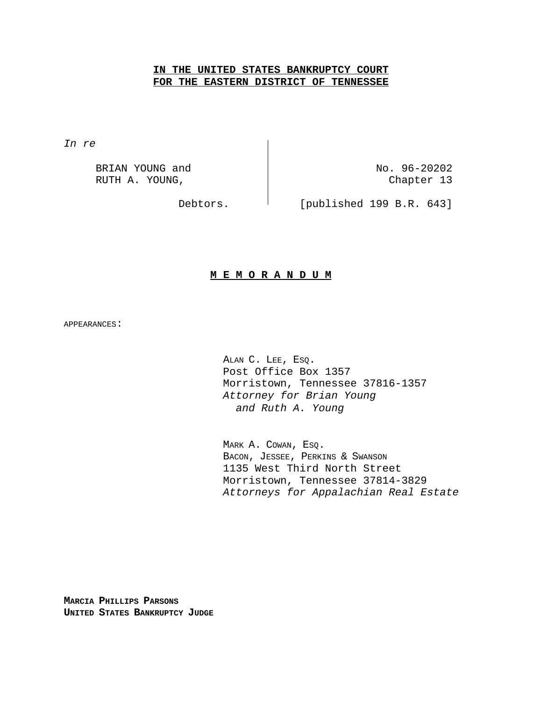## **IN THE UNITED STATES BANKRUPTCY COURT FOR THE EASTERN DISTRICT OF TENNESSEE**

*In re*

BRIAN YOUNG and  $N_0$ . 96-20202 RUTH A. YOUNG, The Chapter 13

Debtors. <sup>|</sup> [published 199 B.R. 643]

## **M E M O R A N D U M**

APPEARANCES:

ALAN C. LEE, ESQ. Post Office Box 1357 Morristown, Tennessee 37816-1357 *Attorney for Brian Young and Ruth A. Young* 

MARK A. COWAN, ESQ. BACON, JESSEE, PERKINS & SWANSON 1135 West Third North Street Morristown, Tennessee 37814-3829 *Attorneys for Appalachian Real Estate*

**MARCIA PHILLIPS PARSONS UNITED STATES BANKRUPTCY JUDGE**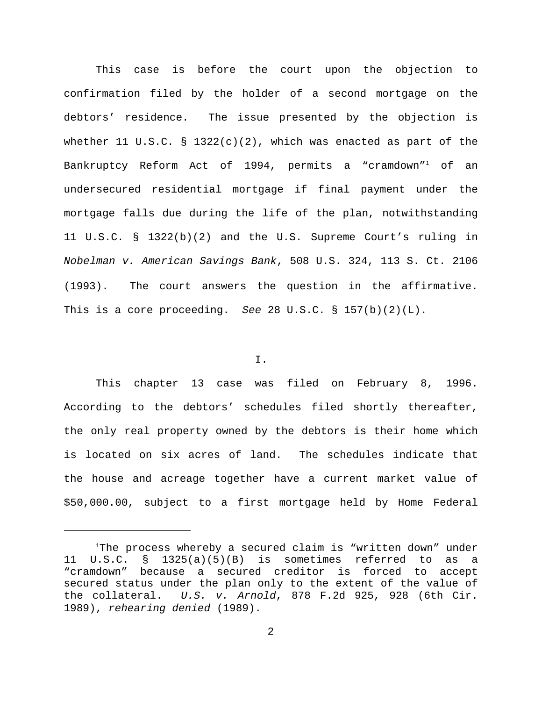This case is before the court upon the objection to confirmation filed by the holder of a second mortgage on the debtors' residence. The issue presented by the objection is whether 11 U.S.C. § 1322(c)(2), which was enacted as part of the Bankruptcy Reform Act of 1994, permits a "cramdown"<sup>1</sup> of an undersecured residential mortgage if final payment under the mortgage falls due during the life of the plan, notwithstanding 11 U.S.C. § 1322(b)(2) and the U.S. Supreme Court's ruling in *Nobelman v. American Savings Bank*, 508 U.S. 324, 113 S. Ct. 2106 (1993). The court answers the question in the affirmative. This is a core proceeding. *See* 28 U.S.C. § 157(b)(2)(L).

## I.

This chapter 13 case was filed on February 8, 1996. According to the debtors' schedules filed shortly thereafter, the only real property owned by the debtors is their home which is located on six acres of land. The schedules indicate that the house and acreage together have a current market value of \$50,000.00, subject to a first mortgage held by Home Federal

 $1$ The process whereby a secured claim is "written down" under 11 U.S.C. § 1325(a)(5)(B) is sometimes referred to as a "cramdown" because a secured creditor is forced to accept secured status under the plan only to the extent of the value of the collateral. *U.S. v. Arnold*, 878 F.2d 925, 928 (6th Cir. 1989), *rehearing denied* (1989).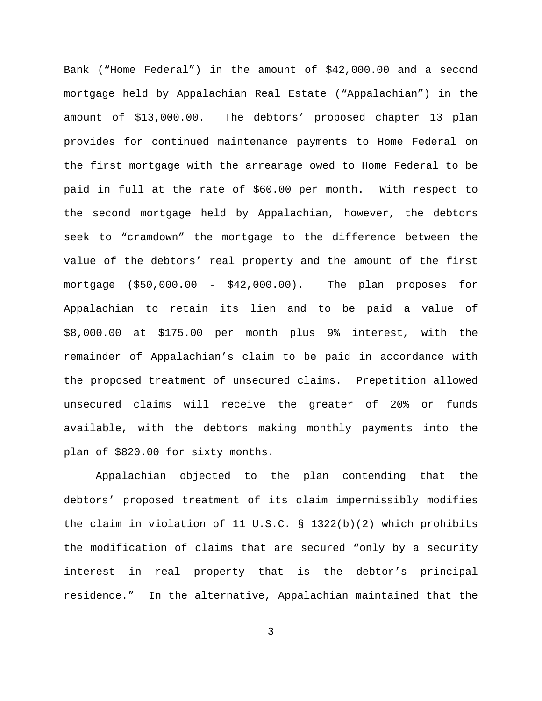Bank ("Home Federal") in the amount of \$42,000.00 and a second mortgage held by Appalachian Real Estate ("Appalachian") in the amount of \$13,000.00. The debtors' proposed chapter 13 plan provides for continued maintenance payments to Home Federal on the first mortgage with the arrearage owed to Home Federal to be paid in full at the rate of \$60.00 per month. With respect to the second mortgage held by Appalachian, however, the debtors seek to "cramdown" the mortgage to the difference between the value of the debtors' real property and the amount of the first mortgage (\$50,000.00 - \$42,000.00). The plan proposes for Appalachian to retain its lien and to be paid a value of \$8,000.00 at \$175.00 per month plus 9% interest, with the remainder of Appalachian's claim to be paid in accordance with the proposed treatment of unsecured claims. Prepetition allowed unsecured claims will receive the greater of 20% or funds available, with the debtors making monthly payments into the plan of \$820.00 for sixty months.

Appalachian objected to the plan contending that the debtors' proposed treatment of its claim impermissibly modifies the claim in violation of 11 U.S.C. § 1322(b)(2) which prohibits the modification of claims that are secured "only by a security interest in real property that is the debtor's principal residence." In the alternative, Appalachian maintained that the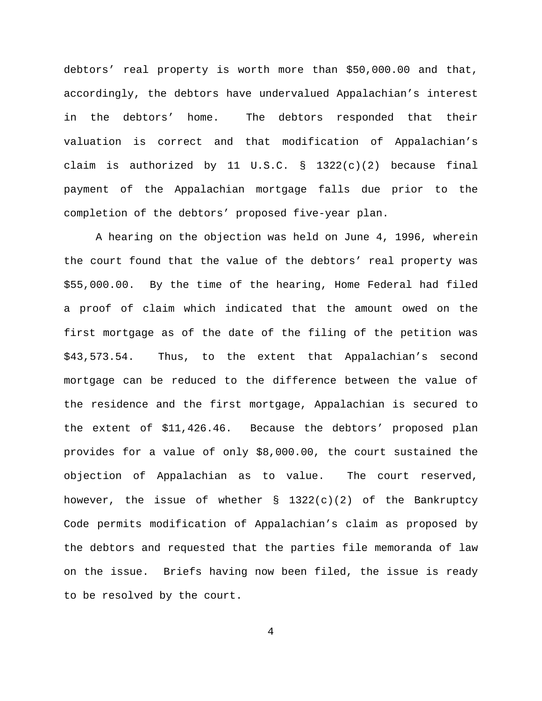debtors' real property is worth more than \$50,000.00 and that, accordingly, the debtors have undervalued Appalachian's interest in the debtors' home. The debtors responded that their valuation is correct and that modification of Appalachian's claim is authorized by 11 U.S.C. § 1322(c)(2) because final payment of the Appalachian mortgage falls due prior to the completion of the debtors' proposed five-year plan.

A hearing on the objection was held on June 4, 1996, wherein the court found that the value of the debtors' real property was \$55,000.00. By the time of the hearing, Home Federal had filed a proof of claim which indicated that the amount owed on the first mortgage as of the date of the filing of the petition was \$43,573.54. Thus, to the extent that Appalachian's second mortgage can be reduced to the difference between the value of the residence and the first mortgage, Appalachian is secured to the extent of \$11,426.46. Because the debtors' proposed plan provides for a value of only \$8,000.00, the court sustained the objection of Appalachian as to value. The court reserved, however, the issue of whether  $\S$  1322(c)(2) of the Bankruptcy Code permits modification of Appalachian's claim as proposed by the debtors and requested that the parties file memoranda of law on the issue. Briefs having now been filed, the issue is ready to be resolved by the court.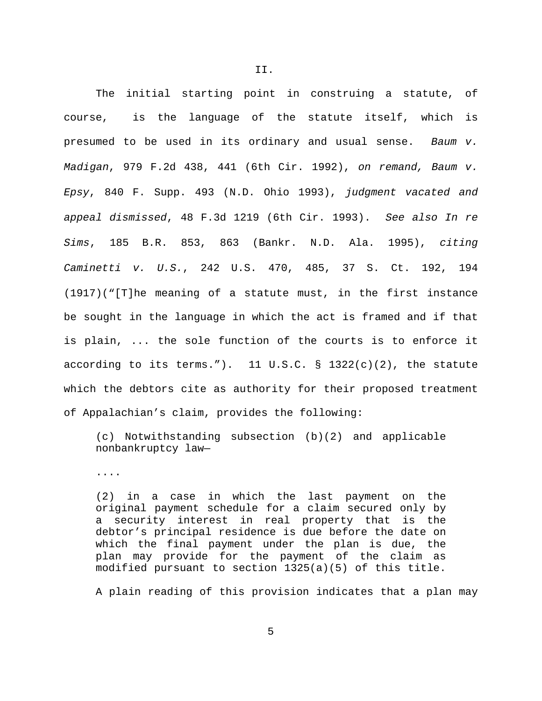The initial starting point in construing a statute, of course, is the language of the statute itself, which is presumed to be used in its ordinary and usual sense. *Baum v. Madigan*, 979 F.2d 438, 441 (6th Cir. 1992), *on remand, Baum v. Epsy*, 840 F. Supp. 493 (N.D. Ohio 1993), *judgment vacated and appeal dismissed*, 48 F.3d 1219 (6th Cir. 1993). *See also In re Sims*, 185 B.R. 853, 863 (Bankr. N.D. Ala. 1995), *citing Caminetti v. U.S.*, 242 U.S. 470, 485, 37 S. Ct. 192, 194 (1917)("[T]he meaning of a statute must, in the first instance be sought in the language in which the act is framed and if that is plain, ... the sole function of the courts is to enforce it according to its terms."). 11 U.S.C.  $\S$  1322(c)(2), the statute which the debtors cite as authority for their proposed treatment of Appalachian's claim, provides the following:

(c) Notwithstanding subsection (b)(2) and applicable nonbankruptcy law—

....

(2) in a case in which the last payment on the original payment schedule for a claim secured only by a security interest in real property that is the debtor's principal residence is due before the date on which the final payment under the plan is due, the plan may provide for the payment of the claim as modified pursuant to section 1325(a)(5) of this title.

A plain reading of this provision indicates that a plan may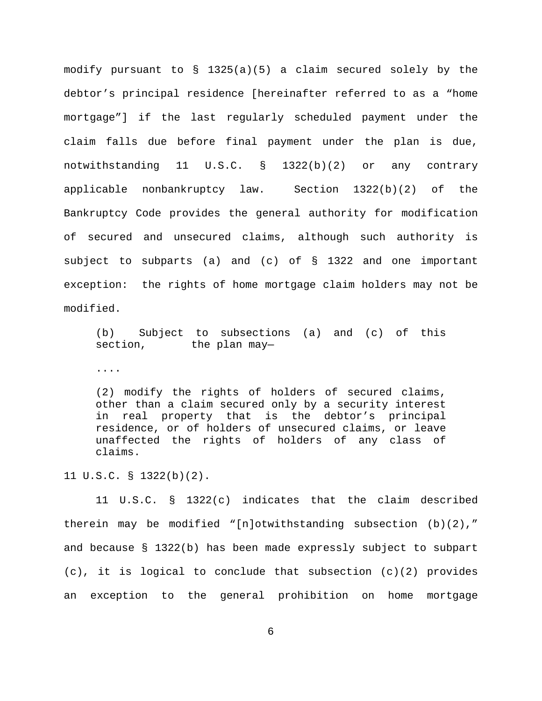modify pursuant to § 1325(a)(5) a claim secured solely by the debtor's principal residence [hereinafter referred to as a "home mortgage"] if the last regularly scheduled payment under the claim falls due before final payment under the plan is due, notwithstanding 11 U.S.C. § 1322(b)(2) or any contrary applicable nonbankruptcy law. Section 1322(b)(2) of the Bankruptcy Code provides the general authority for modification of secured and unsecured claims, although such authority is subject to subparts (a) and (c) of § 1322 and one important exception: the rights of home mortgage claim holders may not be modified.

(b) Subject to subsections (a) and (c) of this section, the plan may-

....

(2) modify the rights of holders of secured claims, other than a claim secured only by a security interest in real property that is the debtor's principal residence, or of holders of unsecured claims, or leave unaffected the rights of holders of any class of claims.

11 U.S.C. § 1322(b)(2).

11 U.S.C. § 1322(c) indicates that the claim described therein may be modified "[n]otwithstanding subsection  $(b)(2)$ ," and because  $\S$  1322(b) has been made expressly subject to subpart  $(c)$ , it is logical to conclude that subsection  $(c)(2)$  provides an exception to the general prohibition on home mortgage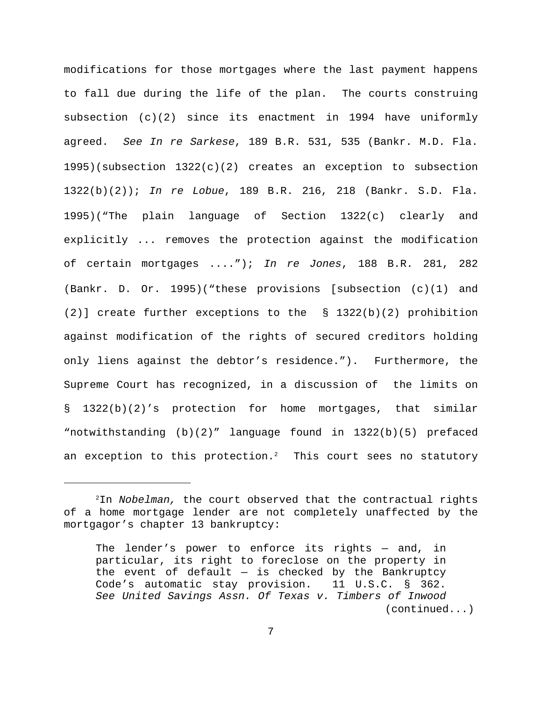modifications for those mortgages where the last payment happens to fall due during the life of the plan. The courts construing subsection (c)(2) since its enactment in 1994 have uniformly agreed. *See In re Sarkese*, 189 B.R. 531, 535 (Bankr. M.D. Fla. 1995)(subsection 1322(c)(2) creates an exception to subsection 1322(b)(2)); *In re Lobue*, 189 B.R. 216, 218 (Bankr. S.D. Fla. 1995)("The plain language of Section 1322(c) clearly and explicitly ... removes the protection against the modification of certain mortgages ...."); *In re Jones*, 188 B.R. 281, 282 (Bankr. D. Or. 1995)("these provisions [subsection (c)(1) and (2)] create further exceptions to the § 1322(b)(2) prohibition against modification of the rights of secured creditors holding only liens against the debtor's residence."). Furthermore, the Supreme Court has recognized, in a discussion of the limits on § 1322(b)(2)'s protection for home mortgages, that similar "notwithstanding (b)(2)" language found in 1322(b)(5) prefaced an exception to this protection. $^2$  -This court sees no statutory

<sup>&</sup>lt;sup>2</sup>In *Nobelman,* the court observed that the contractual rights of a home mortgage lender are not completely unaffected by the mortgagor's chapter 13 bankruptcy:

The lender's power to enforce its rights — and, in particular, its right to foreclose on the property in the event of default  $-$  is checked by the Bankruptcy Code's automatic stay provision. 11 U.S.C. § 362. *See United Savings Assn. Of Texas v. Timbers of Inwood* (continued...)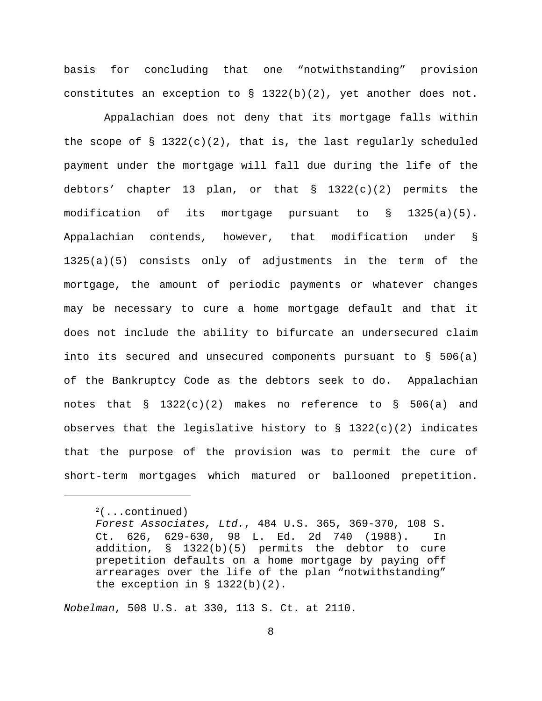basis for concluding that one "notwithstanding" provision constitutes an exception to  $\S$  1322(b)(2), yet another does not.

 Appalachian does not deny that its mortgage falls within the scope of  $\S$  1322(c)(2), that is, the last regularly scheduled payment under the mortgage will fall due during the life of the debtors' chapter 13 plan, or that § 1322(c)(2) permits the modification of its mortgage pursuant to § 1325(a)(5). Appalachian contends, however, that modification under § 1325(a)(5) consists only of adjustments in the term of the mortgage, the amount of periodic payments or whatever changes may be necessary to cure a home mortgage default and that it does not include the ability to bifurcate an undersecured claim into its secured and unsecured components pursuant to § 506(a) of the Bankruptcy Code as the debtors seek to do. Appalachian notes that  $\S$  1322(c)(2) makes no reference to  $\S$  506(a) and observes that the legislative history to  $\S$  1322(c)(2) indicates that the purpose of the provision was to permit the cure of short-term mortgages which matured or ballooned prepetition.

*Nobelman*, 508 U.S. at 330, 113 S. Ct. at 2110.

 $2$ (...continued)

*Forest Associates, Ltd.*, 484 U.S. 365, 369-370, 108 S. Ct. 626, 629-630, 98 L. Ed. 2d 740 (1988). In addition, § 1322(b)(5) permits the debtor to cure prepetition defaults on a home mortgage by paying off arrearages over the life of the plan "notwithstanding" the exception in  $\S$  1322(b)(2).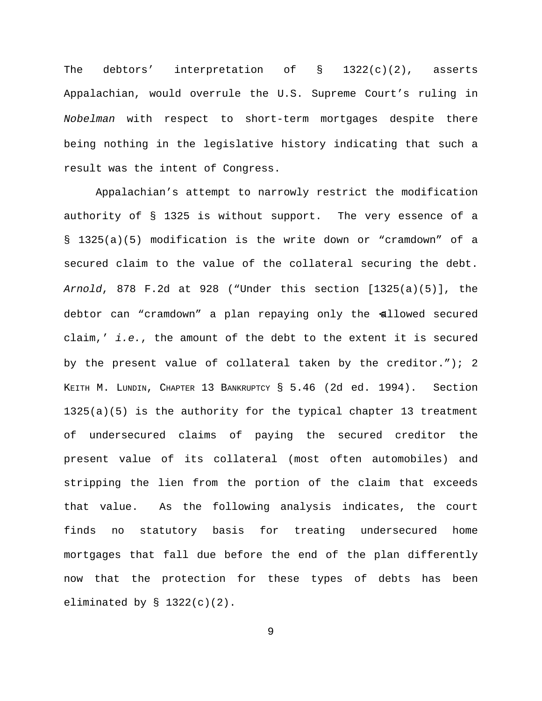The debtors' interpretation of  $\S$  1322(c)(2), asserts Appalachian, would overrule the U.S. Supreme Court's ruling in *Nobelman* with respect to short-term mortgages despite there being nothing in the legislative history indicating that such a result was the intent of Congress.

Appalachian's attempt to narrowly restrict the modification authority of § 1325 is without support. The very essence of a § 1325(a)(5) modification is the write down or "cramdown" of a secured claim to the value of the collateral securing the debt. *Arnold*, 878 F.2d at 928 ("Under this section [1325(a)(5)], the debtor can "cramdown" a plan repaying only the allowed secured claim,' *i.e.*, the amount of the debt to the extent it is secured by the present value of collateral taken by the creditor."); 2 KEITH M. LUNDIN, CHAPTER 13 BANKRUPTCY § 5.46 (2d ed. 1994). Section 1325(a)(5) is the authority for the typical chapter 13 treatment of undersecured claims of paying the secured creditor the present value of its collateral (most often automobiles) and stripping the lien from the portion of the claim that exceeds that value. As the following analysis indicates, the court finds no statutory basis for treating undersecured home mortgages that fall due before the end of the plan differently now that the protection for these types of debts has been eliminated by  $\S$  1322(c)(2).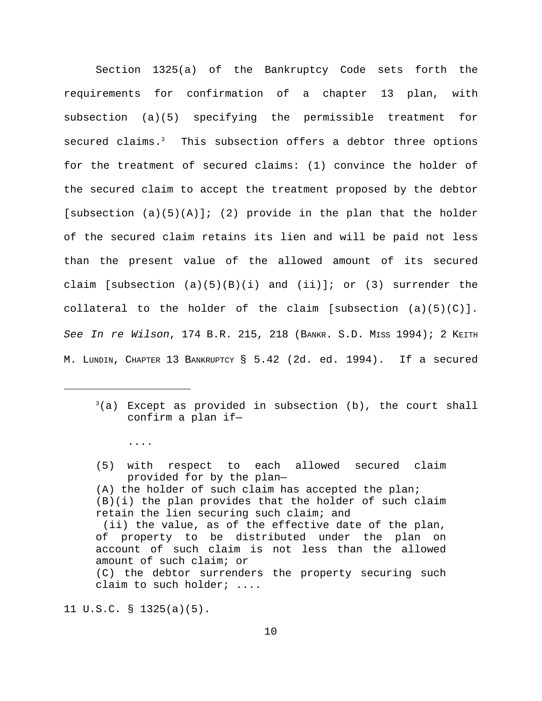Section 1325(a) of the Bankruptcy Code sets forth the requirements for confirmation of a chapter 13 plan, with subsection (a)(5) specifying the permissible treatment for secured claims.<sup>3</sup> This subsection offers a debtor three options for the treatment of secured claims: (1) convince the holder of the secured claim to accept the treatment proposed by the debtor [subsection  $(a)(5)(A)$ ]; (2) provide in the plan that the holder of the secured claim retains its lien and will be paid not less than the present value of the allowed amount of its secured claim [subsection  $(a)(5)(B)(i)$  and  $(ii)$ ]; or (3) surrender the collateral to the holder of the claim [subsection  $(a)(5)(C)$ ]. *See In re Wilson*, 174 B.R. 215, 218 (BANKR. S.D. MISS 1994); 2 KEITH M. LUNDIN, CHAPTER 13 BANKRUPTCY § 5.42 (2d. ed. 1994). If a secured

- (5) with respect to each allowed secured claim provided for by the plan—
- (A) the holder of such claim has accepted the plan; (B)(i) the plan provides that the holder of such claim retain the lien securing such claim; and

11 U.S.C. § 1325(a)(5).

....

 $(3a)$  Except as provided in subsection (b), the court shall confirm a plan if—

 <sup>(</sup>ii) the value, as of the effective date of the plan, of property to be distributed under the plan on account of such claim is not less than the allowed amount of such claim; or (C) the debtor surrenders the property securing such claim to such holder; ....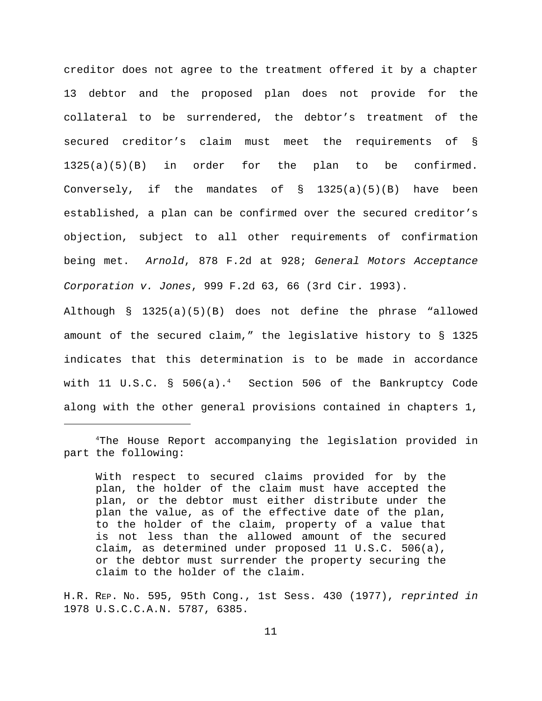creditor does not agree to the treatment offered it by a chapter 13 debtor and the proposed plan does not provide for the collateral to be surrendered, the debtor's treatment of the secured creditor's claim must meet the requirements of § 1325(a)(5)(B) in order for the plan to be confirmed. Conversely, if the mandates of § 1325(a)(5)(B) have been established, a plan can be confirmed over the secured creditor's objection, subject to all other requirements of confirmation being met. *Arnold*, 878 F.2d at 928; *General Motors Acceptance Corporation v. Jones*, 999 F.2d 63, 66 (3rd Cir. 1993).

Although § 1325(a)(5)(B) does not define the phrase "allowed amount of the secured claim," the legislative history to § 1325 indicates that this determination is to be made in accordance with  $11$  U.S.C. §  $506(a) \cdot ^4$  Section  $506$  of the Bankruptcy Code along with the other general provisions contained in chapters 1,

With respect to secured claims provided for by the plan, the holder of the claim must have accepted the plan, or the debtor must either distribute under the plan the value, as of the effective date of the plan, to the holder of the claim, property of a value that is not less than the allowed amount of the secured claim, as determined under proposed 11 U.S.C. 506(a), or the debtor must surrender the property securing the claim to the holder of the claim.

H.R. REP. NO. 595, 95th Cong., 1st Sess. 430 (1977), *reprinted in* 1978 U.S.C.C.A.N. 5787, 6385.

<sup>&</sup>lt;sup>4</sup>The House Report accompanying the legislation provided in part the following: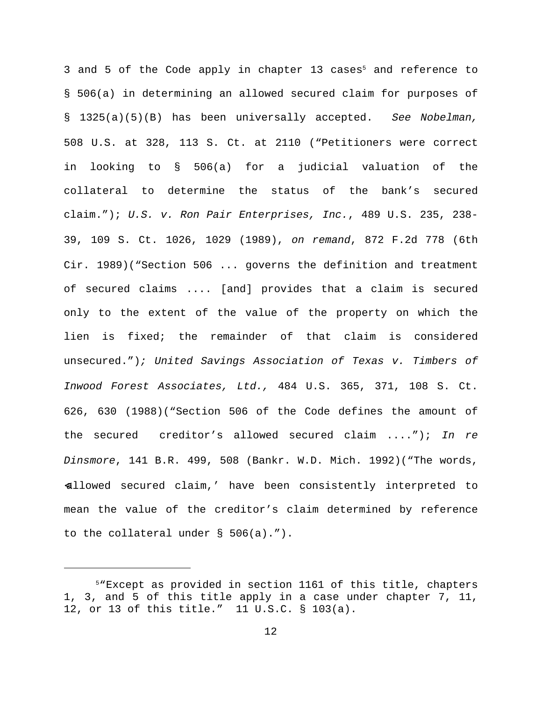3 and 5 of the Code apply in chapter 13 cases<sup>5</sup> and reference to § 506(a) in determining an allowed secured claim for purposes of § 1325(a)(5)(B) has been universally accepted. *See Nobelman,* 508 U.S. at 328, 113 S. Ct. at 2110 ("Petitioners were correct in looking to § 506(a) for a judicial valuation of the collateral to determine the status of the bank's secured claim."); *U.S. v. Ron Pair Enterprises, Inc.*, 489 U.S. 235, 238- 39, 109 S. Ct. 1026, 1029 (1989), *on remand*, 872 F.2d 778 (6th Cir. 1989)("Section 506 ... governs the definition and treatment of secured claims .... [and] provides that a claim is secured only to the extent of the value of the property on which the lien is fixed; the remainder of that claim is considered unsecured.")*; United Savings Association of Texas v. Timbers of Inwood Forest Associates, Ltd.,* 484 U.S. 365, 371, 108 S. Ct. 626, 630 (1988)("Section 506 of the Code defines the amount of the secured creditor's allowed secured claim ...."); *In re Dinsmore*, 141 B.R. 499, 508 (Bankr. W.D. Mich. 1992)("The words, <allowed secured claim,' have been consistently interpreted to mean the value of the creditor's claim determined by reference to the collateral under § 506(a).").

<sup>&</sup>lt;sup>5</sup>"Except as provided in section 1161 of this title, chapters 1, 3, and 5 of this title apply in a case under chapter 7, 11, 12, or 13 of this title." 11 U.S.C. § 103(a).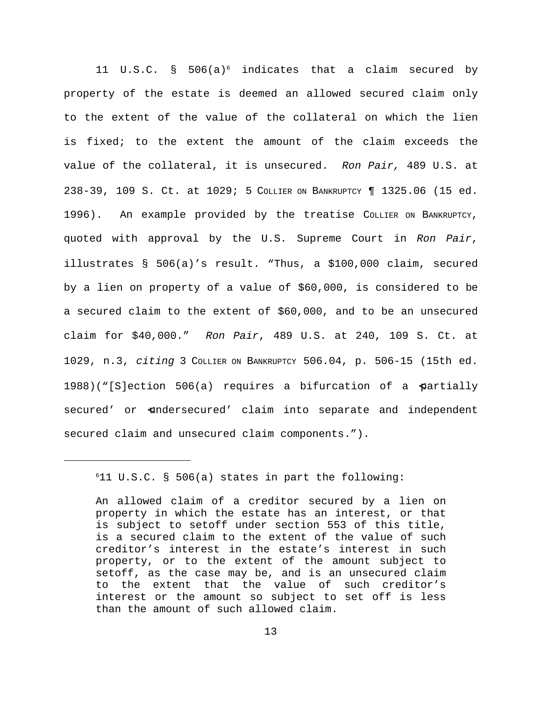11 U.S.C. § 506(a)<sup>6</sup> indicates that a claim secured by property of the estate is deemed an allowed secured claim only to the extent of the value of the collateral on which the lien is fixed; to the extent the amount of the claim exceeds the value of the collateral, it is unsecured. *Ron Pair,* 489 U.S. at 238-39, 109 S. Ct. at 1029; 5 COLLIER ON BANKRUPTCY ¶ 1325.06 (15 ed. 1996). An example provided by the treatise COLLIER ON BANKRUPTCY, quoted with approval by the U.S. Supreme Court in *Ron Pair*, illustrates § 506(a)'s result. "Thus, a \$100,000 claim, secured by a lien on property of a value of \$60,000, is considered to be a secured claim to the extent of \$60,000, and to be an unsecured claim for \$40,000." *Ron Pair*, 489 U.S. at 240, 109 S. Ct. at 1029, n.3, *citing* 3 COLLIER ON BANKRUPTCY 506.04, p. 506-15 (15th ed. 1988)("[S]ection 506(a) requires a bifurcation of a partially secured' or aundersecured' claim into separate and independent secured claim and unsecured claim components.").

 $611$  U.S.C. § 506(a) states in part the following:

An allowed claim of a creditor secured by a lien on property in which the estate has an interest, or that is subject to setoff under section 553 of this title, is a secured claim to the extent of the value of such creditor's interest in the estate's interest in such property, or to the extent of the amount subject to setoff, as the case may be, and is an unsecured claim to the extent that the value of such creditor's interest or the amount so subject to set off is less than the amount of such allowed claim.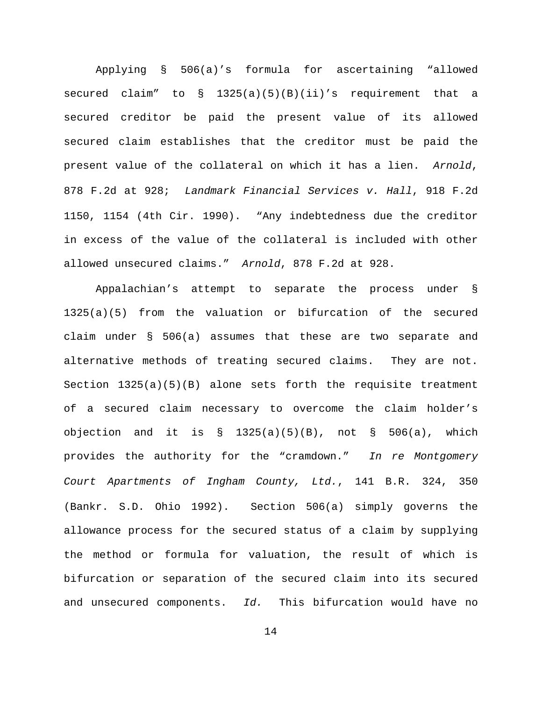Applying § 506(a)'s formula for ascertaining "allowed secured claim" to  $\S$  1325(a)(5)(B)(ii)'s requirement that a secured creditor be paid the present value of its allowed secured claim establishes that the creditor must be paid the present value of the collateral on which it has a lien. *Arnold*, 878 F.2d at 928; *Landmark Financial Services v. Hall*, 918 F.2d 1150, 1154 (4th Cir. 1990). "Any indebtedness due the creditor in excess of the value of the collateral is included with other allowed unsecured claims." *Arnold*, 878 F.2d at 928.

Appalachian's attempt to separate the process under § 1325(a)(5) from the valuation or bifurcation of the secured claim under § 506(a) assumes that these are two separate and alternative methods of treating secured claims. They are not. Section 1325(a)(5)(B) alone sets forth the requisite treatment of a secured claim necessary to overcome the claim holder's objection and it is  $\S$  1325(a)(5)(B), not  $\S$  506(a), which provides the authority for the "cramdown." *In re Montgomery Court Apartments of Ingham County, Ltd.*, 141 B.R. 324, 350 (Bankr. S.D. Ohio 1992). Section 506(a) simply governs the allowance process for the secured status of a claim by supplying the method or formula for valuation, the result of which is bifurcation or separation of the secured claim into its secured and unsecured components. *Id.* This bifurcation would have no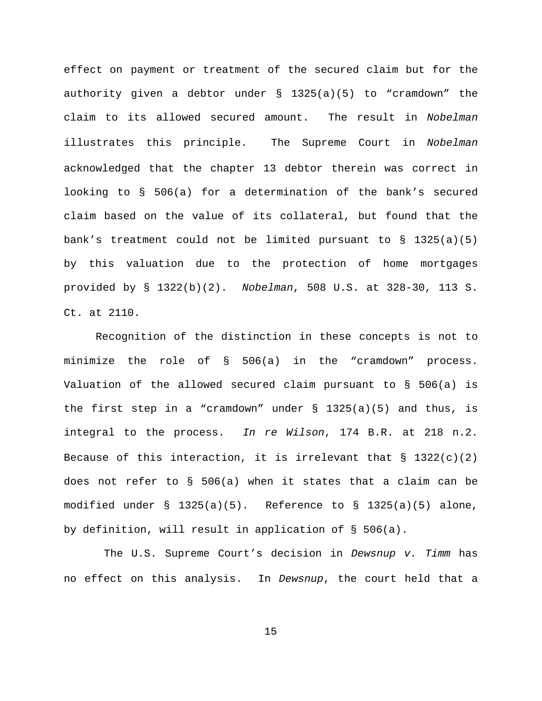effect on payment or treatment of the secured claim but for the authority given a debtor under § 1325(a)(5) to "cramdown" the claim to its allowed secured amount. The result in *Nobelman* illustrates this principle. The Supreme Court in *Nobelman* acknowledged that the chapter 13 debtor therein was correct in looking to § 506(a) for a determination of the bank's secured claim based on the value of its collateral, but found that the bank's treatment could not be limited pursuant to  $\S$  1325(a)(5) by this valuation due to the protection of home mortgages provided by § 1322(b)(2). *Nobelman*, 508 U.S. at 328-30, 113 S. Ct. at 2110.

Recognition of the distinction in these concepts is not to minimize the role of § 506(a) in the "cramdown" process. Valuation of the allowed secured claim pursuant to § 506(a) is the first step in a "cramdown" under  $\S$  1325(a)(5) and thus, is integral to the process. *In re Wilson*, 174 B.R. at 218 n.2. Because of this interaction, it is irrelevant that  $\S$  1322(c)(2) does not refer to § 506(a) when it states that a claim can be modified under § 1325(a)(5). Reference to § 1325(a)(5) alone, by definition, will result in application of § 506(a).

 The U.S. Supreme Court's decision in *Dewsnup v. Timm* has no effect on this analysis. In *Dewsnup*, the court held that a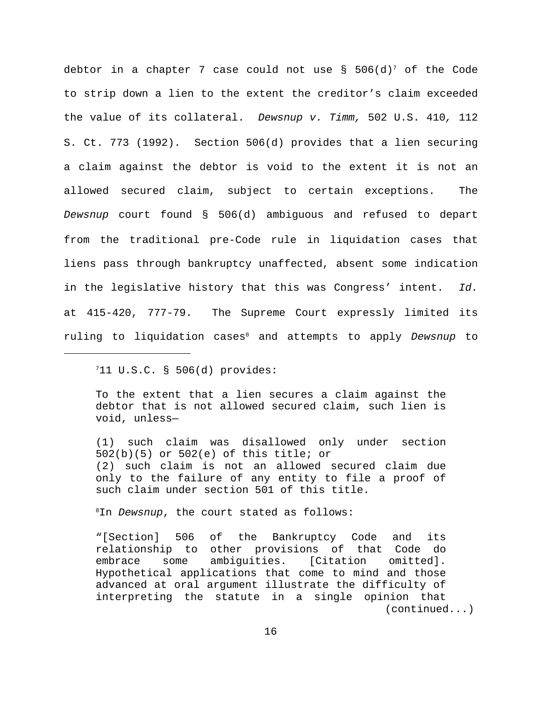debtor in a chapter 7 case could not use  $\S$  506(d) $^7$  of the Code to strip down a lien to the extent the creditor's claim exceeded the value of its collateral. *Dewsnup v. Timm,* 502 U.S. 410*,* 112 S. Ct. 773 (1992). Section 506(d) provides that a lien securing a claim against the debtor is void to the extent it is not an allowed secured claim, subject to certain exceptions. The *Dewsnup* court found § 506(d) ambiguous and refused to depart from the traditional pre-Code rule in liquidation cases that liens pass through bankruptcy unaffected, absent some indication in the legislative history that this was Congress' intent. *Id.* at 415-420, 777-79. The Supreme Court expressly limited its ruling to liquidation cases<sup>8</sup> and attempts to apply *Dewsnup* to

 $711$  U.S.C. § 506(d) provides:

To the extent that a lien secures a claim against the debtor that is not allowed secured claim, such lien is void, unless—

(1) such claim was disallowed only under section 502(b)(5) or 502(e) of this title; or (2) such claim is not an allowed secured claim due only to the failure of any entity to file a proof of such claim under section 501 of this title.

<sup>8</sup>In *Dewsnup*, the court stated as follows:

"[Section] 506 of the Bankruptcy Code and its relationship to other provisions of that Code do embrace some ambiguities. [Citation omitted]. Hypothetical applications that come to mind and those advanced at oral argument illustrate the difficulty of interpreting the statute in a single opinion that (continued...)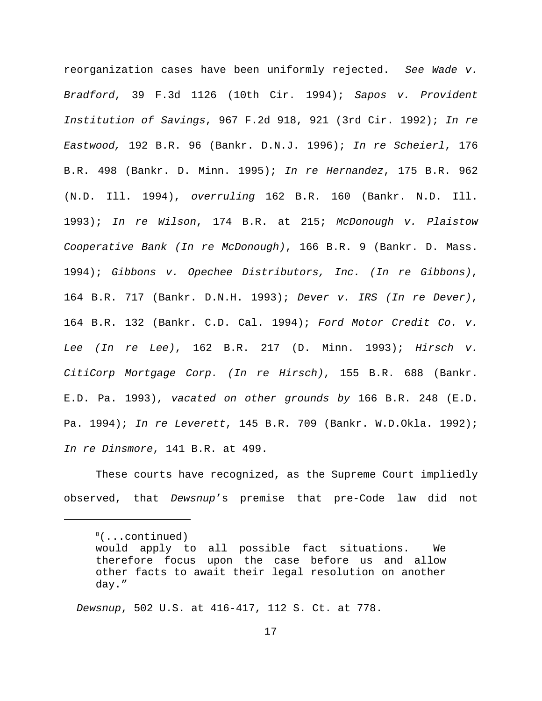reorganization cases have been uniformly rejected. *See Wade v. Bradford*, 39 F.3d 1126 (10th Cir. 1994); *Sapos v. Provident Institution of Savings*, 967 F.2d 918, 921 (3rd Cir. 1992); *In re Eastwood,* 192 B.R. 96 (Bankr. D.N.J. 1996); *In re Scheierl*, 176 B.R. 498 (Bankr. D. Minn. 1995); *In re Hernandez*, 175 B.R. 962 (N.D. Ill. 1994), *overruling* 162 B.R. 160 (Bankr. N.D. Ill. 1993); *In re Wilson*, 174 B.R. at 215; *McDonough v. Plaistow Cooperative Bank (In re McDonough)*, 166 B.R. 9 (Bankr. D. Mass. 1994); *Gibbons v. Opechee Distributors, Inc. (In re Gibbons)*, 164 B.R. 717 (Bankr. D.N.H. 1993); *Dever v. IRS (In re Dever)*, 164 B.R. 132 (Bankr. C.D. Cal. 1994); *Ford Motor Credit Co. v. Lee (In re Lee)*, 162 B.R. 217 (D. Minn. 1993); *Hirsch v. CitiCorp Mortgage Corp. (In re Hirsch)*, 155 B.R. 688 (Bankr. E.D. Pa. 1993), *vacated on other grounds by* 166 B.R. 248 (E.D. Pa. 1994); *In re Leverett*, 145 B.R. 709 (Bankr. W.D.Okla. 1992); *In re Dinsmore*, 141 B.R. at 499.

These courts have recognized, as the Supreme Court impliedly observed, that *Dewsnup*'s premise that pre-Code law did not

 *Dewsnup*, 502 U.S. at 416-417, 112 S. Ct. at 778.

<sup>&</sup>lt;sup>8</sup>(...continued)

would apply to all possible fact situations. We therefore focus upon the case before us and allow other facts to await their legal resolution on another day."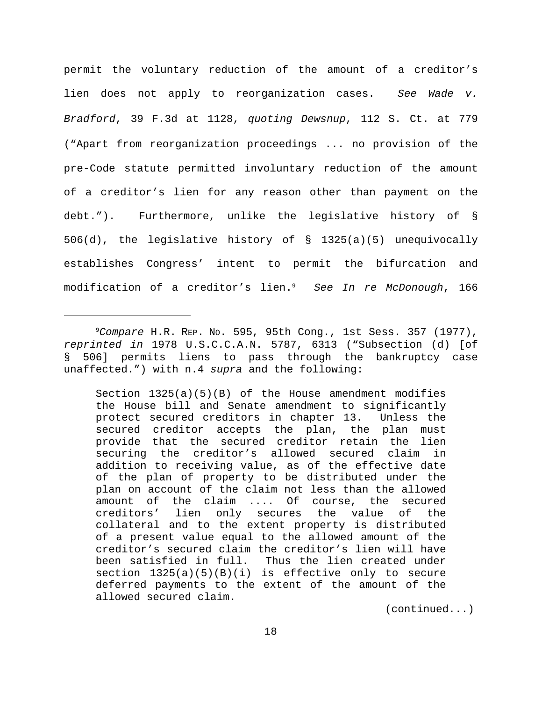permit the voluntary reduction of the amount of a creditor's lien does not apply to reorganization cases. *See Wade v. Bradford*, 39 F.3d at 1128, *quoting Dewsnup*, 112 S. Ct. at 779 ("Apart from reorganization proceedings ... no provision of the pre-Code statute permitted involuntary reduction of the amount of a creditor's lien for any reason other than payment on the debt."). Furthermore, unlike the legislative history of § 506(d), the legislative history of § 1325(a)(5) unequivocally establishes Congress' intent to permit the bifurcation and modification of a creditor's lien. *See In re McDonough*, 166 9

Section  $1325(a)(5)(B)$  of the House amendment modifies the House bill and Senate amendment to significantly protect secured creditors in chapter 13. Unless the secured creditor accepts the plan, the plan must provide that the secured creditor retain the lien securing the creditor's allowed secured claim in addition to receiving value, as of the effective date of the plan of property to be distributed under the plan on account of the claim not less than the allowed amount of the claim .... Of course, the secured creditors' lien only secures the value of the collateral and to the extent property is distributed of a present value equal to the allowed amount of the creditor's secured claim the creditor's lien will have been satisfied in full. Thus the lien created under section  $1325(a)(5)(B)(i)$  is effective only to secure deferred payments to the extent of the amount of the allowed secured claim.

(continued...)

*Compare* H.R. REP. NO. 595, 95th Cong., 1st Sess. 357 (1977), 9 *reprinted in* 1978 U.S.C.C.A.N. 5787, 6313 ("Subsection (d) [of § 506] permits liens to pass through the bankruptcy case unaffected.") with n.4 *supra* and the following: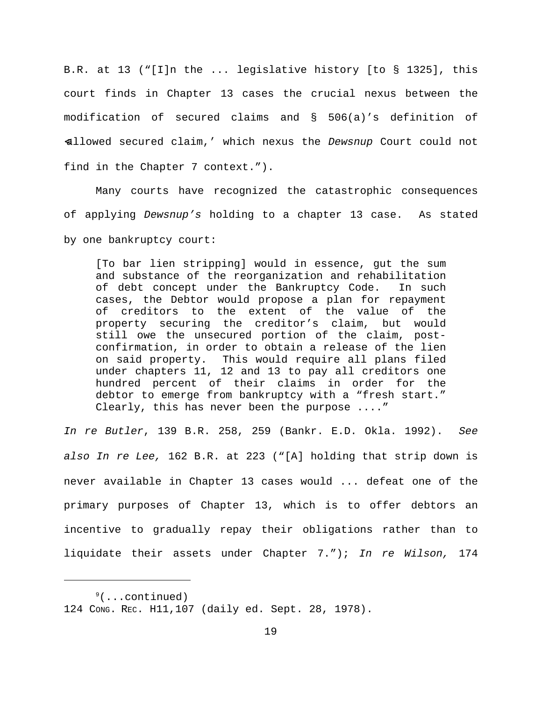B.R. at 13 ("[I]n the ... legislative history [to § 1325], this court finds in Chapter 13 cases the crucial nexus between the modification of secured claims and § 506(a)'s definition of <allowed secured claim,' which nexus the *Dewsnup* Court could not find in the Chapter 7 context.").

Many courts have recognized the catastrophic consequences of applying *Dewsnup's* holding to a chapter 13 case. As stated by one bankruptcy court:

[To bar lien stripping] would in essence, gut the sum and substance of the reorganization and rehabilitation of debt concept under the Bankruptcy Code. In such cases, the Debtor would propose a plan for repayment of creditors to the extent of the value of the property securing the creditor's claim, but would still owe the unsecured portion of the claim, postconfirmation, in order to obtain a release of the lien on said property. This would require all plans filed under chapters 11, 12 and 13 to pay all creditors one hundred percent of their claims in order for the debtor to emerge from bankruptcy with a "fresh start." Clearly, this has never been the purpose ...."

*In re Butler*, 139 B.R. 258, 259 (Bankr. E.D. Okla. 1992). *See also In re Lee,* 162 B.R. at 223 ("[A] holding that strip down is never available in Chapter 13 cases would ... defeat one of the primary purposes of Chapter 13, which is to offer debtors an incentive to gradually repay their obligations rather than to liquidate their assets under Chapter 7."); *In re Wilson,* 174

 $\frac{9}{2}$ ...continued) 124 CONG. REC. H11,107 (daily ed. Sept. 28, 1978).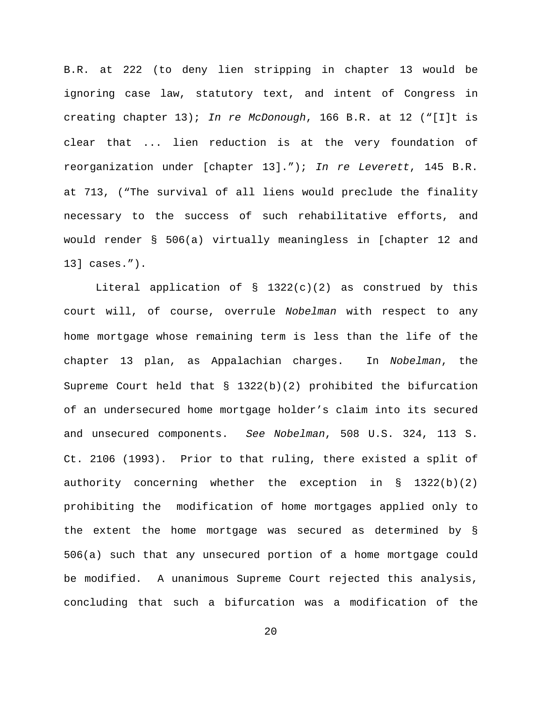B.R. at 222 (to deny lien stripping in chapter 13 would be ignoring case law, statutory text, and intent of Congress in creating chapter 13); *In re McDonough*, 166 B.R. at 12 ("[I]t is clear that ... lien reduction is at the very foundation of reorganization under [chapter 13]."); *In re Leverett*, 145 B.R. at 713, ("The survival of all liens would preclude the finality necessary to the success of such rehabilitative efforts, and would render § 506(a) virtually meaningless in [chapter 12 and 13] cases.").

Literal application of  $\S$  1322(c)(2) as construed by this court will, of course, overrule *Nobelman* with respect to any home mortgage whose remaining term is less than the life of the chapter 13 plan, as Appalachian charges. In *Nobelman*, the Supreme Court held that § 1322(b)(2) prohibited the bifurcation of an undersecured home mortgage holder's claim into its secured and unsecured components. *See Nobelman*, 508 U.S. 324, 113 S. Ct. 2106 (1993). Prior to that ruling, there existed a split of authority concerning whether the exception in  $\S$  1322(b)(2) prohibiting the modification of home mortgages applied only to the extent the home mortgage was secured as determined by § 506(a) such that any unsecured portion of a home mortgage could be modified. A unanimous Supreme Court rejected this analysis, concluding that such a bifurcation was a modification of the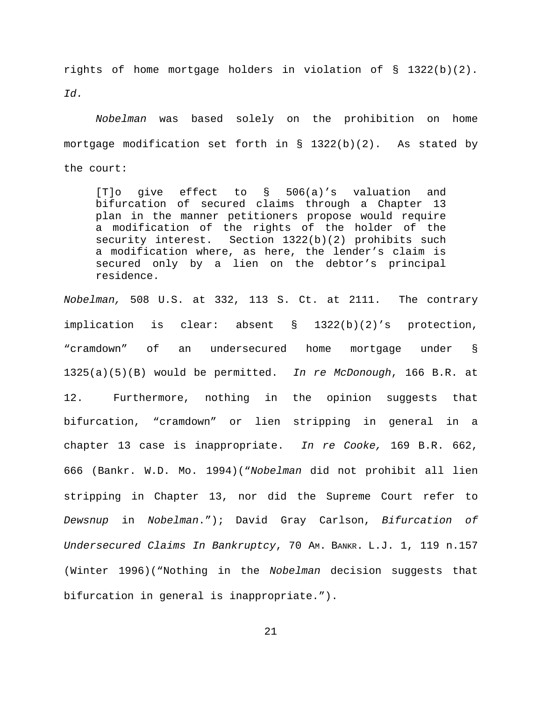rights of home mortgage holders in violation of § 1322(b)(2). *Id.*

*Nobelman* was based solely on the prohibition on home mortgage modification set forth in  $\S$  1322(b)(2). As stated by the court:

[T]o give effect to § 506(a)'s valuation and bifurcation of secured claims through a Chapter 13 plan in the manner petitioners propose would require a modification of the rights of the holder of the security interest. Section 1322(b)(2) prohibits such a modification where, as here, the lender's claim is secured only by a lien on the debtor's principal residence.

*Nobelman,* 508 U.S. at 332, 113 S. Ct. at 2111. The contrary implication is clear: absent § 1322(b)(2)'s protection, "cramdown" of an undersecured home mortgage under § 1325(a)(5)(B) would be permitted. *In re McDonough*, 166 B.R. at 12. Furthermore, nothing in the opinion suggests that bifurcation, "cramdown" or lien stripping in general in a chapter 13 case is inappropriate. *In re Cooke,* 169 B.R. 662, 666 (Bankr. W.D. Mo. 1994)("*Nobelman* did not prohibit all lien stripping in Chapter 13, nor did the Supreme Court refer to *Dewsnup* in *Nobelman*."); David Gray Carlson, *Bifurcation of Undersecured Claims In Bankruptcy*, 70 AM. BANKR. L.J. 1, 119 n.157 (Winter 1996)("Nothing in the *Nobelman* decision suggests that bifurcation in general is inappropriate.").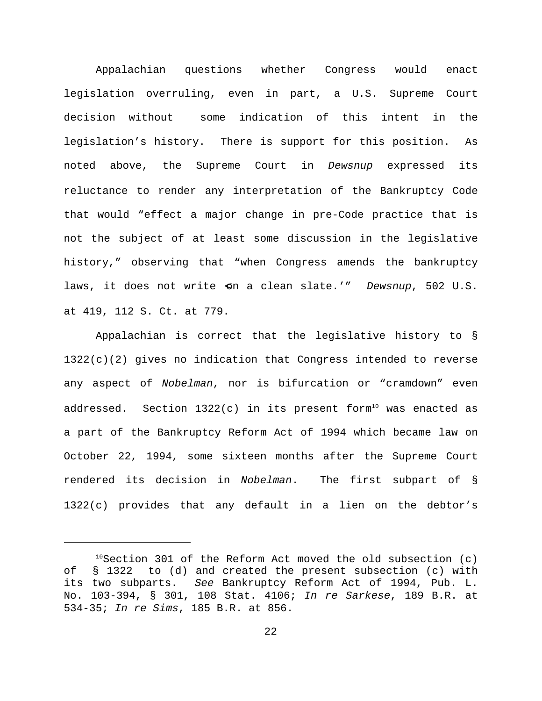Appalachian questions whether Congress would enact legislation overruling, even in part, a U.S. Supreme Court decision without some indication of this intent in the legislation's history. There is support for this position. As noted above, the Supreme Court in *Dewsnup* expressed its reluctance to render any interpretation of the Bankruptcy Code that would "effect a major change in pre-Code practice that is not the subject of at least some discussion in the legislative history," observing that "when Congress amends the bankruptcy laws, it does not write <on a clean slate.'" *Dewsnup*, 502 U.S. at 419, 112 S. Ct. at 779.

Appalachian is correct that the legislative history to §  $1322(c)(2)$  gives no indication that Congress intended to reverse any aspect of *Nobelman*, nor is bifurcation or "cramdown" even addressed. Section  $1322(c)$  in its present form $^{\rm 10}$  was enacted as a part of the Bankruptcy Reform Act of 1994 which became law on October 22, 1994, some sixteen months after the Supreme Court rendered its decision in *Nobelman*. The first subpart of § 1322(c) provides that any default in a lien on the debtor's

 $10$ Section 301 of the Reform Act moved the old subsection (c) of § 1322 to (d) and created the present subsection (c) with its two subparts. *See* Bankruptcy Reform Act of 1994, Pub. L. No. 103-394, § 301, 108 Stat. 4106; *In re Sarkese*, 189 B.R. at 534-35; *In re Sims*, 185 B.R. at 856.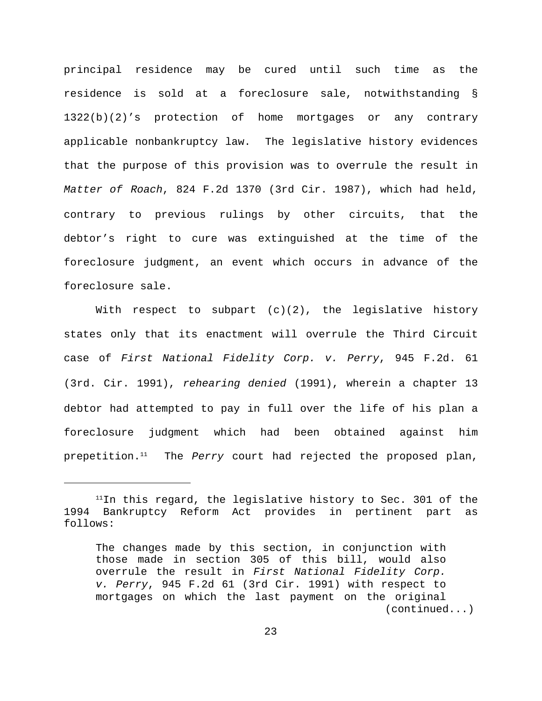principal residence may be cured until such time as the residence is sold at a foreclosure sale, notwithstanding § 1322(b)(2)'s protection of home mortgages or any contrary applicable nonbankruptcy law. The legislative history evidences that the purpose of this provision was to overrule the result in *Matter of Roach*, 824 F.2d 1370 (3rd Cir. 1987), which had held, contrary to previous rulings by other circuits, that the debtor's right to cure was extinguished at the time of the foreclosure judgment, an event which occurs in advance of the foreclosure sale.

With respect to subpart  $(c)(2)$ , the legislative history states only that its enactment will overrule the Third Circuit case of *First National Fidelity Corp. v. Perry*, 945 F.2d. 61 (3rd. Cir. 1991), *rehearing denied* (1991), wherein a chapter 13 debtor had attempted to pay in full over the life of his plan a foreclosure judgment which had been obtained against him prepetition.<sup>11</sup> The *Perry* court had rejected the proposed plan,

 $11$ In this regard, the legislative history to Sec. 301 of the 1994 Bankruptcy Reform Act provides in pertinent part as follows:

The changes made by this section, in conjunction with those made in section 305 of this bill, would also overrule the result in *First National Fidelity Corp. v. Perry*, 945 F.2d 61 (3rd Cir. 1991) with respect to mortgages on which the last payment on the original (continued...)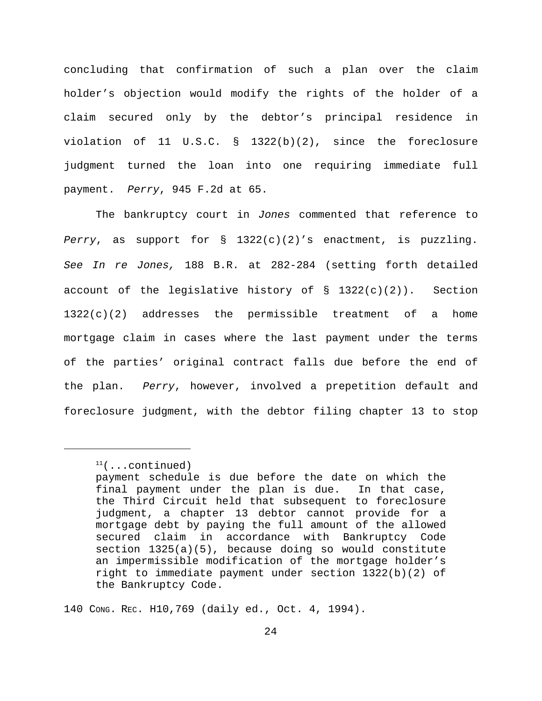concluding that confirmation of such a plan over the claim holder's objection would modify the rights of the holder of a claim secured only by the debtor's principal residence in violation of 11 U.S.C. § 1322(b)(2), since the foreclosure judgment turned the loan into one requiring immediate full payment. *Perry*, 945 F.2d at 65.

The bankruptcy court in *Jones* commented that reference to *Perry*, as support for § 1322(c)(2)'s enactment, is puzzling. *See In re Jones,* 188 B.R. at 282-284 (setting forth detailed account of the legislative history of  $\S$  1322(c)(2)). Section  $1322(c)(2)$  addresses the permissible treatment of a home mortgage claim in cases where the last payment under the terms of the parties' original contract falls due before the end of the plan. *Perry*, however, involved a prepetition default and foreclosure judgment, with the debtor filing chapter 13 to stop

140 CONG. REC. H10,769 (daily ed., Oct. 4, 1994).

 $11$  (...continued)

payment schedule is due before the date on which the final payment under the plan is due. In that case, the Third Circuit held that subsequent to foreclosure judgment, a chapter 13 debtor cannot provide for a mortgage debt by paying the full amount of the allowed secured claim in accordance with Bankruptcy Code section 1325(a)(5), because doing so would constitute an impermissible modification of the mortgage holder's right to immediate payment under section 1322(b)(2) of the Bankruptcy Code.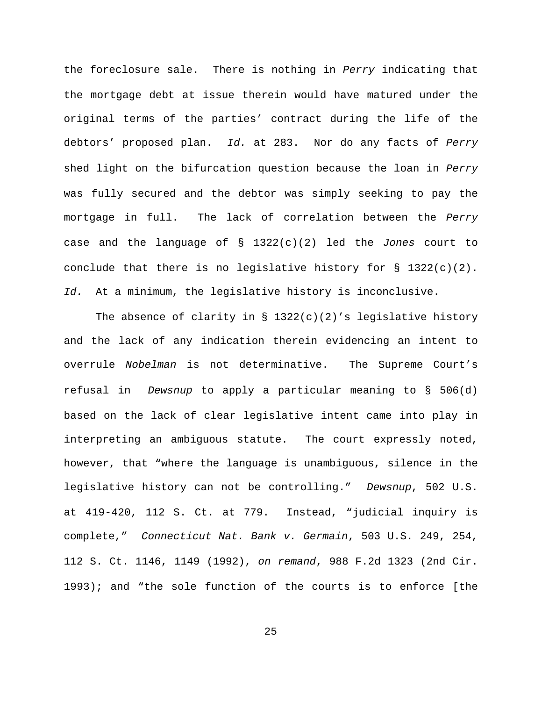the foreclosure sale. There is nothing in *Perry* indicating that the mortgage debt at issue therein would have matured under the original terms of the parties' contract during the life of the debtors' proposed plan. *Id.* at 283. Nor do any facts of *Perry* shed light on the bifurcation question because the loan in *Perry* was fully secured and the debtor was simply seeking to pay the mortgage in full. The lack of correlation between the *Perry* case and the language of § 1322(c)(2) led the *Jones* court to conclude that there is no legislative history for  $\S$  1322(c)(2). *Id.* At a minimum, the legislative history is inconclusive.

The absence of clarity in § 1322(c)(2)'s legislative history and the lack of any indication therein evidencing an intent to overrule *Nobelman* is not determinative. The Supreme Court's refusal in *Dewsnup* to apply a particular meaning to § 506(d) based on the lack of clear legislative intent came into play in interpreting an ambiguous statute. The court expressly noted, however, that "where the language is unambiguous, silence in the legislative history can not be controlling." *Dewsnup*, 502 U.S. at 419-420, 112 S. Ct. at 779. Instead, "judicial inquiry is complete," *Connecticut Nat. Bank v. Germain*, 503 U.S. 249, 254, 112 S. Ct. 1146, 1149 (1992), *on remand*, 988 F.2d 1323 (2nd Cir. 1993); and "the sole function of the courts is to enforce [the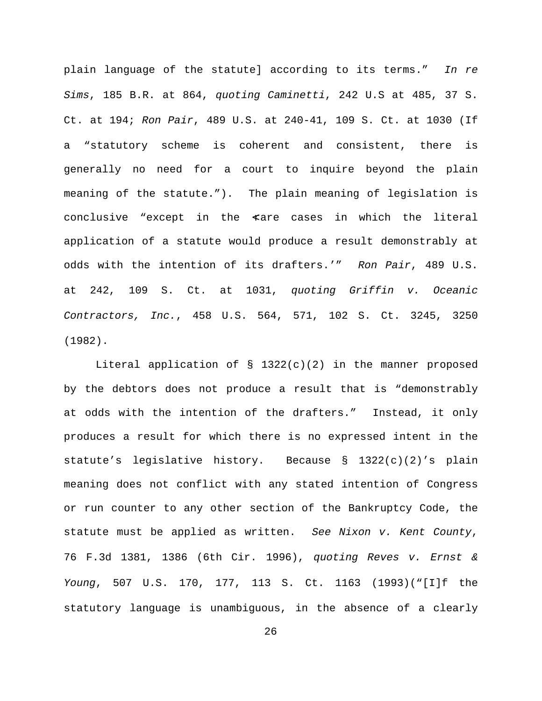plain language of the statute] according to its terms." *In re Sims*, 185 B.R. at 864, *quoting Caminetti*, 242 U.S at 485, 37 S. Ct. at 194; *Ron Pair*, 489 U.S. at 240-41, 109 S. Ct. at 1030 (If a "statutory scheme is coherent and consistent, there is generally no need for a court to inquire beyond the plain meaning of the statute."). The plain meaning of legislation is conclusive "except in the  $\alpha$ are cases in which the literal application of a statute would produce a result demonstrably at odds with the intention of its drafters.'" *Ron Pair*, 489 U.S. at 242, 109 S. Ct. at 1031, *quoting Griffin v. Oceanic Contractors, Inc.*, 458 U.S. 564, 571, 102 S. Ct. 3245, 3250 (1982).

Literal application of § 1322(c)(2) in the manner proposed by the debtors does not produce a result that is "demonstrably at odds with the intention of the drafters." Instead, it only produces a result for which there is no expressed intent in the statute's legislative history. Because § 1322(c)(2)'s plain meaning does not conflict with any stated intention of Congress or run counter to any other section of the Bankruptcy Code, the statute must be applied as written. *See Nixon v. Kent County*, 76 F.3d 1381, 1386 (6th Cir. 1996), *quoting Reves v. Ernst & Young*, 507 U.S. 170, 177, 113 S. Ct. 1163 (1993)("[I]f the statutory language is unambiguous, in the absence of a clearly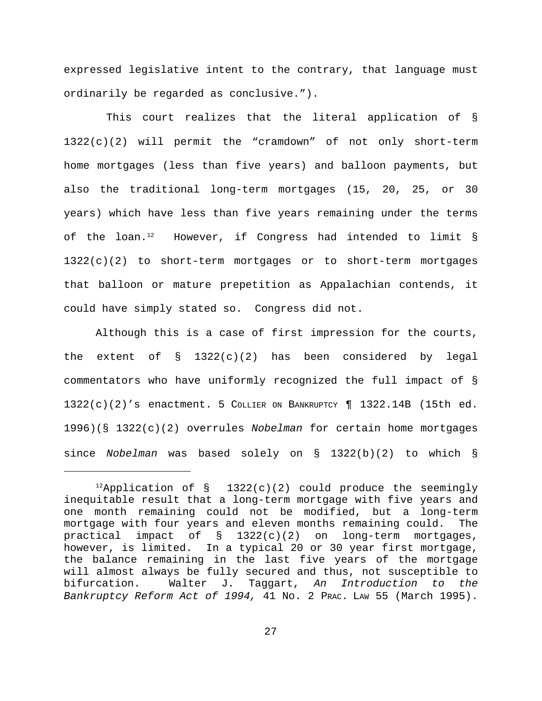expressed legislative intent to the contrary, that language must ordinarily be regarded as conclusive.").

 This court realizes that the literal application of § 1322(c)(2) will permit the "cramdown" of not only short-term home mortgages (less than five years) and balloon payments, but also the traditional long-term mortgages (15, 20, 25, or 30 years) which have less than five years remaining under the terms of the loan.<sup>12</sup> However, if Congress had intended to limit  $\S$ 1322(c)(2) to short-term mortgages or to short-term mortgages that balloon or mature prepetition as Appalachian contends, it could have simply stated so. Congress did not.

Although this is a case of first impression for the courts, the extent of  $\S$  1322(c)(2) has been considered by legal commentators who have uniformly recognized the full impact of § 1322(c)(2)'s enactment. 5 COLLIER ON BANKRUPTCY ¶ 1322.14B (15th ed. 1996)(§ 1322(c)(2) overrules *Nobelman* for certain home mortgages since *Nobelman* was based solely on § 1322(b)(2) to which §

 $^{12}$ Application of § 1322(c)(2) could produce the seemingly inequitable result that a long-term mortgage with five years and one month remaining could not be modified, but a long-term mortgage with four years and eleven months remaining could. The practical impact of § 1322(c)(2) on long-term mortgages, however, is limited. In a typical 20 or 30 year first mortgage, the balance remaining in the last five years of the mortgage will almost always be fully secured and thus, not susceptible to bifurcation. Walter J. Taggart, *An Introduction to the Bankruptcy Reform Act of 1994,* 41 No. 2 PRAC. LAW 55 (March 1995).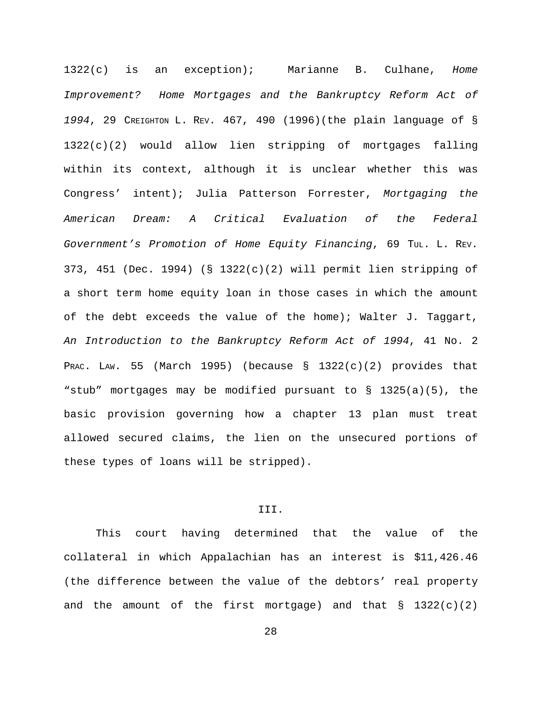1322(c) is an exception); Marianne B. Culhane, *Home Improvement? Home Mortgages and the Bankruptcy Reform Act of 1994*, 29 CREIGHTON L. REV. 467, 490 (1996)(the plain language of § 1322(c)(2) would allow lien stripping of mortgages falling within its context, although it is unclear whether this was Congress' intent); Julia Patterson Forrester, *Mortgaging the American Dream: A Critical Evaluation of the Federal Government's Promotion of Home Equity Financing*, 69 TUL. L. REV. 373, 451 (Dec. 1994) (§ 1322(c)(2) will permit lien stripping of a short term home equity loan in those cases in which the amount of the debt exceeds the value of the home); Walter J. Taggart, *An Introduction to the Bankruptcy Reform Act of 1994*, 41 No. 2 PRAC. LAW. 55 (March 1995) (because  $\S$  1322(c)(2) provides that "stub" mortgages may be modified pursuant to § 1325(a)(5), the basic provision governing how a chapter 13 plan must treat allowed secured claims, the lien on the unsecured portions of these types of loans will be stripped).

## III.

This court having determined that the value of the collateral in which Appalachian has an interest is \$11,426.46 (the difference between the value of the debtors' real property and the amount of the first mortgage) and that  $\S$  1322(c)(2)